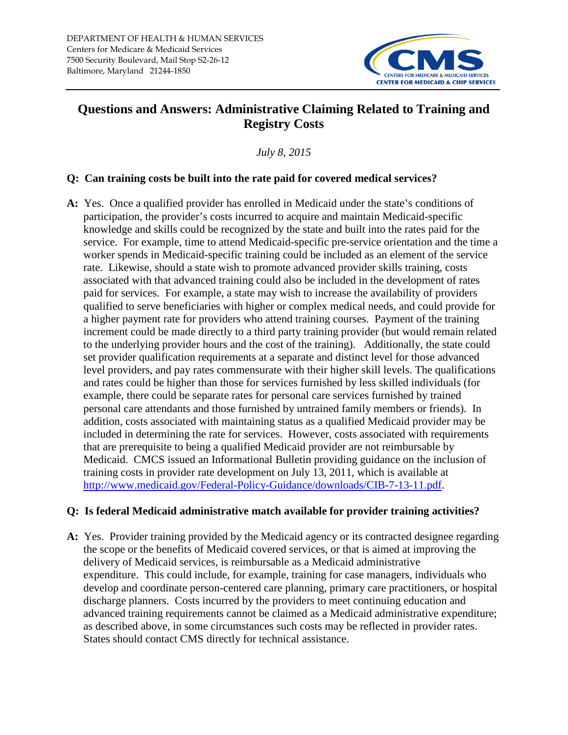

## **Questions and Answers: Administrative Claiming Related to Training and Registry Costs**

*July 8, 2015*

## **Q: Can training costs be built into the rate paid for covered medical services?**

**A:** Yes. Once a qualified provider has enrolled in Medicaid under the state's conditions of participation, the provider's costs incurred to acquire and maintain Medicaid-specific knowledge and skills could be recognized by the state and built into the rates paid for the service. For example, time to attend Medicaid-specific pre-service orientation and the time a worker spends in Medicaid-specific training could be included as an element of the service rate. Likewise, should a state wish to promote advanced provider skills training, costs associated with that advanced training could also be included in the development of rates paid for services. For example, a state may wish to increase the availability of providers qualified to serve beneficiaries with higher or complex medical needs, and could provide for a higher payment rate for providers who attend training courses. Payment of the training increment could be made directly to a third party training provider (but would remain related to the underlying provider hours and the cost of the training). Additionally, the state could set provider qualification requirements at a separate and distinct level for those advanced level providers, and pay rates commensurate with their higher skill levels. The qualifications and rates could be higher than those for services furnished by less skilled individuals (for example, there could be separate rates for personal care services furnished by trained personal care attendants and those furnished by untrained family members or friends). In addition, costs associated with maintaining status as a qualified Medicaid provider may be included in determining the rate for services. However, costs associated with requirements that are prerequisite to being a qualified Medicaid provider are not reimbursable by Medicaid. CMCS issued an Informational Bulletin providing guidance on the inclusion of training costs in provider rate development on July 13, 2011, which is available at [http://www.medicaid.gov/Federal-Policy-Guidance/downloads/CIB-7-13-11.pdf.](http://www.medicaid.gov/Federal-Policy-Guidance/downloads/CIB-7-13-11.pdf)

## **Q: Is federal Medicaid administrative match available for provider training activities?**

**A:** Yes. Provider training provided by the Medicaid agency or its contracted designee regarding the scope or the benefits of Medicaid covered services, or that is aimed at improving the delivery of Medicaid services, is reimbursable as a Medicaid administrative expenditure. This could include, for example, training for case managers, individuals who develop and coordinate person-centered care planning, primary care practitioners, or hospital discharge planners. Costs incurred by the providers to meet continuing education and advanced training requirements cannot be claimed as a Medicaid administrative expenditure; as described above, in some circumstances such costs may be reflected in provider rates. States should contact CMS directly for technical assistance.